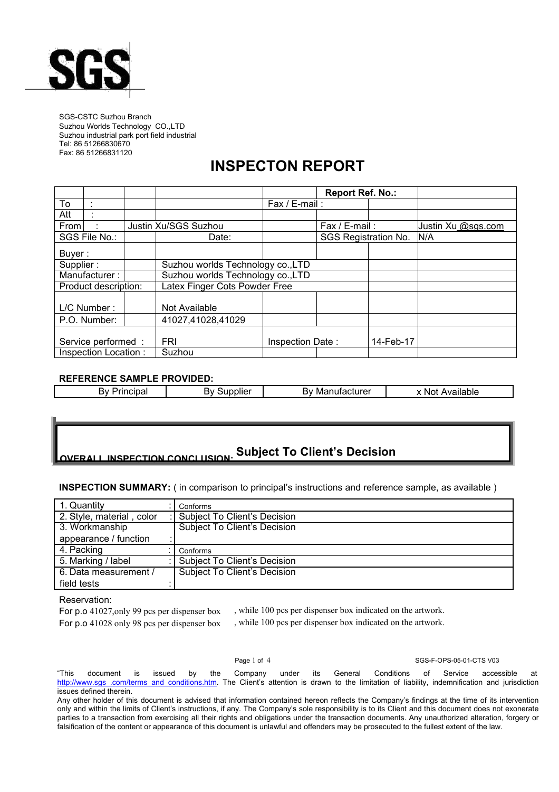

SGS-CSTC Suzhou Branch Suzhou Worlds Technology CO.,LTD Suzhou industrial park port field industrial Tel: 86 51266830670 Fax: 86 51266831120

## **INSPECTON REPORT**

|                      |  |                                   |                  | <b>Report Ref. No.:</b> |           |                    |
|----------------------|--|-----------------------------------|------------------|-------------------------|-----------|--------------------|
| To                   |  |                                   | Fax / E-mail:    |                         |           |                    |
| Att                  |  |                                   |                  |                         |           |                    |
| From                 |  | Justin Xu/SGS Suzhou              |                  | Fax / E-mail:           |           | Justin Xu @sgs.com |
| SGS File No.:        |  | Date:                             |                  | SGS Registration No.    |           | N/A                |
| Buyer:               |  |                                   |                  |                         |           |                    |
| Supplier:            |  | Suzhou worlds Technology co., LTD |                  |                         |           |                    |
| Manufacturer:        |  | Suzhou worlds Technology co., LTD |                  |                         |           |                    |
| Product description: |  | Latex Finger Cots Powder Free     |                  |                         |           |                    |
| L/C Number:          |  | Not Available                     |                  |                         |           |                    |
| P.O. Number:         |  | 41027,41028,41029                 |                  |                         |           |                    |
|                      |  |                                   |                  |                         |           |                    |
| Service performed :  |  | <b>FRI</b>                        | Inspection Date: |                         | 14-Feb-17 |                    |
| Inspection Location: |  | Suzhou                            |                  |                         |           |                    |

## **REFERENCE SAMPLE PROVIDED:**

| .<br>4V<br>able<br>. NOT<br>alla | ົ້<br>0.0111<br>.<br>Ma<br>nv.<br>ulatal<br> | . .<br>alle.<br>. ער | יי<br>----<br>TING<br>ьv<br>.<br>. . |
|----------------------------------|----------------------------------------------|----------------------|--------------------------------------|
|----------------------------------|----------------------------------------------|----------------------|--------------------------------------|

### **OVERALL INSPECTION CONCLUSION: Subject To Client's Decision**

**INSPECTION SUMMARY:** ( in comparison to principal's instructions and reference sample, as available )

| 1. Quantity               | Conforms                            |
|---------------------------|-------------------------------------|
| 2. Style, material, color | <b>Subject To Client's Decision</b> |
| 3. Workmanship            | <b>Subject To Client's Decision</b> |
| appearance / function     |                                     |
| 4. Packing                | Conforms                            |
| 5. Marking / label        | <b>Subject To Client's Decision</b> |
| 6. Data measurement /     | <b>Subject To Client's Decision</b> |
| field tests               |                                     |

Reservation:

For p.o 41027,only 99 pcs per dispenser box For p.o 41028 only 98 pcs per dispenser box , while 100 pcs per dispenser box indicated on the artwork. , while 100 pcs per dispenser box indicated on the artwork.

Page 1 of 4 SGS-F-OPS-05-01-CTS V03

"This document is issued by the Company under its GeneralConditions of Service accessible at http://www.sgs .com/terms\_and\_conditions.htm. The Client's attention is drawn to the limitation of liability, indemnification and jurisdiction issues defined therein.

Any other holder of this document is advised that information contained hereon reflects the Company's findings at the time of its intervention only and within the limits of Client's instructions, if any. The Company's sole responsibility is to its Client and this document does not exonerate parties to a transaction from exercising all their rights and obligations under the transaction documents. Any unauthorized alteration, forgery or falsification of the content or appearance of this document is unlawful and offenders may be prosecuted to the fullest extent of the law.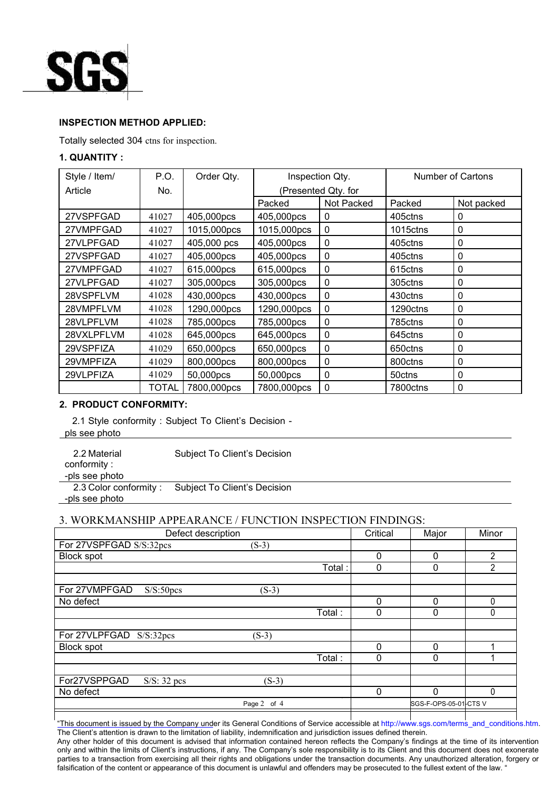

## **INSPECTION METHOD APPLIED:**

Totally selected 304 ctns for inspection.

## **1. QUANTITY :**

| Style / Item/ | P.O.  | Order Qty.  | Inspection Qty.     |              | <b>Number of Cartons</b> |            |
|---------------|-------|-------------|---------------------|--------------|--------------------------|------------|
| Article       | No.   |             | (Presented Qty. for |              |                          |            |
|               |       |             | Packed              | Not Packed   | Packed                   | Not packed |
| 27VSPFGAD     | 41027 | 405,000pcs  | 405,000pcs          | 0            | 405ctns                  | 0          |
| 27VMPFGAD     | 41027 | 1015,000pcs | 1015,000pcs         | $\mathbf{0}$ | 1015ctns                 | 0          |
| 27VLPFGAD     | 41027 | 405,000 pcs | 405,000pcs          | $\mathbf 0$  | 405ctns                  | 0          |
| 27VSPFGAD     | 41027 | 405,000pcs  | 405,000pcs          | 0            | 405ctns                  | 0          |
| 27VMPFGAD     | 41027 | 615,000pcs  | 615,000pcs          | 0            | 615ctns                  | 0          |
| 27VLPFGAD     | 41027 | 305,000pcs  | 305,000pcs          | 0            | 305ctns                  | 0          |
| 28VSPFLVM     | 41028 | 430,000pcs  | 430,000pcs          | 0            | 430ctns                  | 0          |
| 28VMPFLVM     | 41028 | 1290,000pcs | 1290,000pcs         | $\mathbf{0}$ | 1290ctns                 | 0          |
| 28VLPFLVM     | 41028 | 785,000pcs  | 785,000pcs          | 0            | 785ctns                  | 0          |
| 28VXLPFLVM    | 41028 | 645,000pcs  | 645,000pcs          | $\mathbf{0}$ | 645ctns                  | 0          |
| 29VSPFIZA     | 41029 | 650,000pcs  | 650,000pcs          | 0            | 650ctns                  | 0          |
| 29VMPFIZA     | 41029 | 800,000pcs  | 800,000pcs          | 0            | 800ctns                  | 0          |
| 29VLPFIZA     | 41029 | 50,000pcs   | 50,000pcs           | 0            | 50ctns                   | 0          |
|               | TOTAL | 7800,000pcs | 7800,000pcs         | $\mathbf 0$  | 7800ctns                 | 0          |

## **2. PRODUCT CONFORMITY:**

2.1 Style conformity : Subject To Client's Decision -

pls see photo

| 2.2 Material          | Subject To Client's Decision |
|-----------------------|------------------------------|
| conformity:           |                              |
| -pls see photo        |                              |
| 2.3 Color conformity: | Subject To Client's Decision |
| -pls see photo        |                              |

## 3. WORKMANSHIP APPEARANCE / FUNCTION INSPECTION FINDINGS:

| Defect description                     |             |        | Critical | Major                 | Minor    |
|----------------------------------------|-------------|--------|----------|-----------------------|----------|
| For 27VSPFGAD S/S:32pcs                | $(S-3)$     |        |          |                       |          |
| <b>Block spot</b>                      |             |        | 0        | $\Omega$              | 2        |
|                                        |             | Total: | 0        | $\Omega$              | 2        |
|                                        |             |        |          |                       |          |
| For 27VMPFGAD<br>S/S:50 <sub>pcs</sub> | $(S-3)$     |        |          |                       |          |
| No defect                              |             |        | 0        | $\Omega$              | $\Omega$ |
|                                        |             | Total: | 0        | $\mathbf 0$           | 0        |
|                                        |             |        |          |                       |          |
| For 27VLPFGAD S/S:32pcs                | $(S-3)$     |        |          |                       |          |
| <b>Block spot</b>                      |             |        | 0        | $\Omega$              |          |
|                                        |             | Total: | 0        | 0                     |          |
|                                        |             |        |          |                       |          |
| For27VSPPGAD<br>$S/S: 32$ pcs          | $(S-3)$     |        |          |                       |          |
| No defect                              |             |        | 0        | $\Omega$              | 0        |
|                                        | Page 2 of 4 |        |          | SGS-F-OPS-05-01-CTS V |          |

a l "This document is issued by the Company under its General Conditions of Service accessible at [http://www.sgs.com/terms\\_and\\_conditions.htm](http://www.sgs.com/terms_and_conditions.htm). The Client's attention is drawn to the limitation of liability, indemnification and jurisdiction issues defined therein.

Any other holder of this document is advised that information contained hereon reflects the Company's findings at the time of its intervention only and within the limits of Client's instructions, if any. The Company's sole responsibility is to its Client and this document does not exonerate parties to a transaction from exercising all their rights and obligations under the transaction documents. Any unauthorized alteration, forgery or falsification of the content or appearance of this document is unlawful and offenders may be prosecuted to the fullest extent of the law. "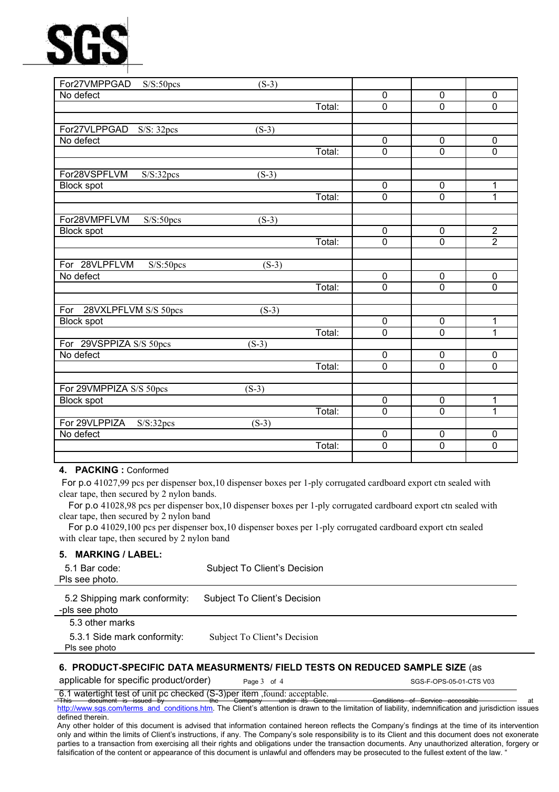# SG:

| For27VMPPGAD S/S:50pcs                | $(S-3)$            |        |                |                |                |
|---------------------------------------|--------------------|--------|----------------|----------------|----------------|
| No defect                             |                    |        | 0              | 0              | 0              |
|                                       |                    | Total: | $\overline{0}$ | $\overline{0}$ | $\overline{0}$ |
| For27VLPPGAD<br>S/S: 32pcs            | $(S-3)$            |        |                |                |                |
| No defect                             |                    |        | $\overline{0}$ | $\overline{0}$ | $\overline{0}$ |
|                                       |                    | Total: | $\overline{0}$ | $\overline{0}$ | $\mathbf{0}$   |
| For28VSPFLVM<br>S/S:32pcs             | $(S-3)$            |        |                |                |                |
| <b>Block spot</b>                     |                    |        | $\overline{0}$ | $\mathbf 0$    | 1              |
|                                       |                    | Total: | $\overline{0}$ | $\mathbf 0$    | 1              |
| For28VMPFLVM<br>S/S:50 <sub>pcs</sub> | $\overline{(S-3)}$ |        |                |                |                |
| <b>Block spot</b>                     |                    |        | $\mathbf 0$    | $\mathbf 0$    | $\overline{2}$ |
|                                       |                    | Total: | $\overline{0}$ | $\overline{0}$ | $\overline{2}$ |
| For 28VLPFLVM<br>S/S:50pcs            | $(S-3)$            |        |                |                |                |
| No defect                             |                    |        | 0              | $\overline{0}$ | $\overline{0}$ |
|                                       |                    | Total: | $\overline{0}$ | $\overline{0}$ | $\overline{0}$ |
| For 28VXLPFLVM S/S 50pcs              | $(S-3)$            |        |                |                |                |
| <b>Block spot</b>                     |                    |        | $\mathbf 0$    | $\mathbf 0$    | 1              |
|                                       |                    | Total: | $\overline{0}$ | $\overline{0}$ | 1              |
| For 29VSPPIZA S/S 50pcs               | $(S-3)$            |        |                |                |                |
| No defect                             |                    |        | $\overline{0}$ | $\overline{0}$ | 0              |
|                                       |                    | Total: | $\overline{0}$ | $\overline{0}$ | $\overline{0}$ |
| For 29VMPPIZA S/S 50pcs               | $(S-3)$            |        |                |                |                |
| <b>Block spot</b>                     |                    |        | 0              | $\mathbf 0$    | 1              |
|                                       |                    | Total: | 0              | $\overline{0}$ | 1              |
| For 29VLPPIZA<br>S/S:32pcs            | $(S-3)$            |        |                |                |                |
| No defect                             |                    |        | $\mathbf 0$    | $\mathbf 0$    | $\mathbf 0$    |
|                                       |                    | Total: | 0              | $\overline{0}$ | $\overline{0}$ |
|                                       |                    |        |                |                |                |

## **4. PACKING :** Conformed

For p.o 41027,99 pcs per dispenser box,10 dispenser boxes per 1-ply corrugated cardboard export ctn sealed with clear tape, then secured by 2 nylon bands.

For p.o 41028,98 pcs perdispenser box,10 dispenser boxes per 1-ply corrugated cardboard export ctn sealed with clear tape, then secured by 2 nylon band

For p.o 41029,100 pcs perdispenser box,10 dispenser boxes per 1-ply corrugated cardboard export ctn sealed with clear tape, then secured by 2 nylon band

### **5. MARKING / LABEL:**

| 5.1 Bar code:<br>Pls see photo.                 | Subject To Client's Decision |
|-------------------------------------------------|------------------------------|
| 5.2 Shipping mark conformity:<br>-pls see photo | Subject To Client's Decision |
| 5.3 other marks                                 |                              |
| 5.3.1 Side mark conformity:<br>Pls see photo    | Subject To Client's Decision |
|                                                 |                              |

## **6. PRODUCT-SPECIFIC DATA MEASURMENTS/FIELD TESTS ON REDUCED SAMPLE SIZE** (as

applicable for specific product/order)  $P_{\text{aqe 3} \text{ of 4}}$  SGS-F-OPS-05-01-CTS V03

6.1 watertight test of unit pc checked (S-3)per item ,found: acceptable.

"This document is issued by the Company under its General Conditions of Service accessible at [http://www.sgs.com/terms\\_and\\_conditions.htm](http://www.sgs.com/terms_and_conditions.htm). The Client's attention isdrawn to the limitation of liability, indemnification and jurisdiction issues defined therein.

Any other holder of this document is advised that information contained hereon reflects the Company's findings at the time of its intervention only and within the limits of Client's instructions, if any. The Company's sole responsibility is to its Client and this document does not exonerate parties to a transaction from exercising all their rights and obligations under the transaction documents. Any unauthorized alteration, forgery or falsification of the content or appearance of this document is unlawful and offenders may be prosecuted to the fullest extent of the law. '